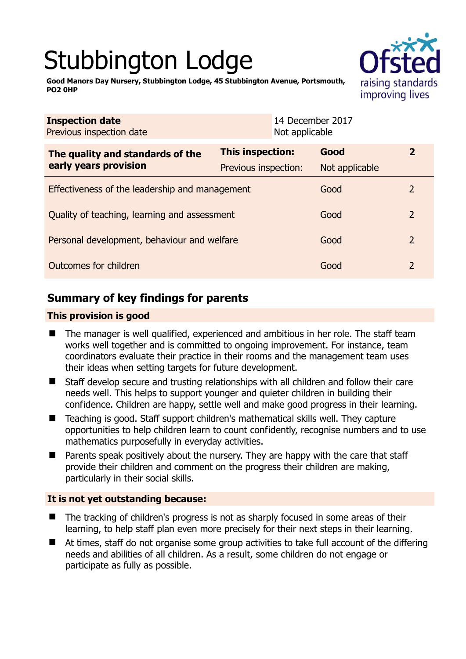# Stubbington Lodge



**Good Manors Day Nursery, Stubbington Lodge, 45 Stubbington Avenue, Portsmouth, PO2 0HP** 

| <b>Inspection date</b><br>Previous inspection date        | Not applicable                           | 14 December 2017       |                |
|-----------------------------------------------------------|------------------------------------------|------------------------|----------------|
| The quality and standards of the<br>early years provision | This inspection:<br>Previous inspection: | Good<br>Not applicable | $\mathbf{2}$   |
| Effectiveness of the leadership and management            |                                          | Good                   | 2              |
| Quality of teaching, learning and assessment              |                                          | Good                   | $\overline{2}$ |
| Personal development, behaviour and welfare               |                                          | Good                   | $\overline{2}$ |
| Outcomes for children                                     |                                          | Good                   | $\overline{2}$ |

# **Summary of key findings for parents**

# **This provision is good**

- The manager is well qualified, experienced and ambitious in her role. The staff team works well together and is committed to ongoing improvement. For instance, team coordinators evaluate their practice in their rooms and the management team uses their ideas when setting targets for future development.
- Staff develop secure and trusting relationships with all children and follow their care needs well. This helps to support younger and quieter children in building their confidence. Children are happy, settle well and make good progress in their learning.
- Teaching is good. Staff support children's mathematical skills well. They capture opportunities to help children learn to count confidently, recognise numbers and to use mathematics purposefully in everyday activities.
- **Parents speak positively about the nursery. They are happy with the care that staff** provide their children and comment on the progress their children are making, particularly in their social skills.

# **It is not yet outstanding because:**

- The tracking of children's progress is not as sharply focused in some areas of their learning, to help staff plan even more precisely for their next steps in their learning.
- At times, staff do not organise some group activities to take full account of the differing needs and abilities of all children. As a result, some children do not engage or participate as fully as possible.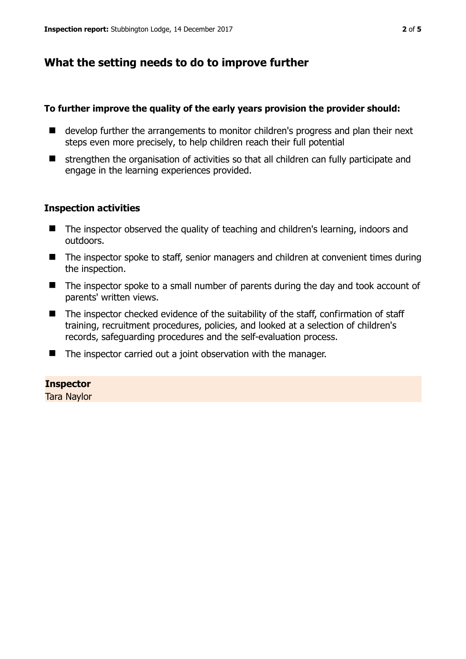# **What the setting needs to do to improve further**

## **To further improve the quality of the early years provision the provider should:**

- develop further the arrangements to monitor children's progress and plan their next steps even more precisely, to help children reach their full potential
- strengthen the organisation of activities so that all children can fully participate and engage in the learning experiences provided.

## **Inspection activities**

- The inspector observed the quality of teaching and children's learning, indoors and outdoors.
- The inspector spoke to staff, senior managers and children at convenient times during the inspection.
- The inspector spoke to a small number of parents during the day and took account of parents' written views.
- The inspector checked evidence of the suitability of the staff, confirmation of staff training, recruitment procedures, policies, and looked at a selection of children's records, safeguarding procedures and the self-evaluation process.
- $\blacksquare$  The inspector carried out a joint observation with the manager.

#### **Inspector**

Tara Naylor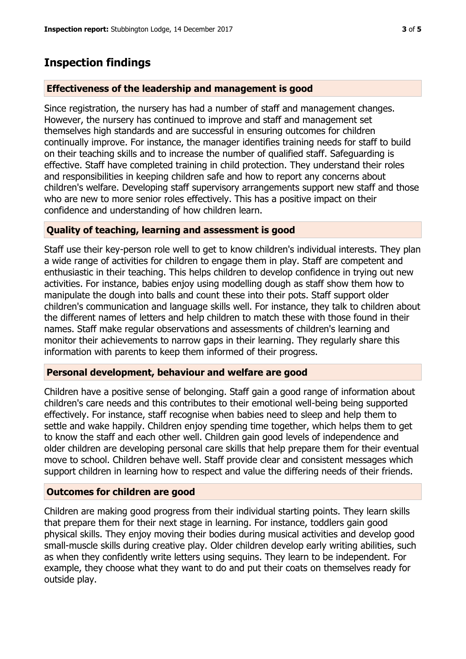# **Inspection findings**

# **Effectiveness of the leadership and management is good**

Since registration, the nursery has had a number of staff and management changes. However, the nursery has continued to improve and staff and management set themselves high standards and are successful in ensuring outcomes for children continually improve. For instance, the manager identifies training needs for staff to build on their teaching skills and to increase the number of qualified staff. Safeguarding is effective. Staff have completed training in child protection. They understand their roles and responsibilities in keeping children safe and how to report any concerns about children's welfare. Developing staff supervisory arrangements support new staff and those who are new to more senior roles effectively. This has a positive impact on their confidence and understanding of how children learn.

## **Quality of teaching, learning and assessment is good**

Staff use their key-person role well to get to know children's individual interests. They plan a wide range of activities for children to engage them in play. Staff are competent and enthusiastic in their teaching. This helps children to develop confidence in trying out new activities. For instance, babies enjoy using modelling dough as staff show them how to manipulate the dough into balls and count these into their pots. Staff support older children's communication and language skills well. For instance, they talk to children about the different names of letters and help children to match these with those found in their names. Staff make regular observations and assessments of children's learning and monitor their achievements to narrow gaps in their learning. They regularly share this information with parents to keep them informed of their progress.

## **Personal development, behaviour and welfare are good**

Children have a positive sense of belonging. Staff gain a good range of information about children's care needs and this contributes to their emotional well-being being supported effectively. For instance, staff recognise when babies need to sleep and help them to settle and wake happily. Children enjoy spending time together, which helps them to get to know the staff and each other well. Children gain good levels of independence and older children are developing personal care skills that help prepare them for their eventual move to school. Children behave well. Staff provide clear and consistent messages which support children in learning how to respect and value the differing needs of their friends.

## **Outcomes for children are good**

Children are making good progress from their individual starting points. They learn skills that prepare them for their next stage in learning. For instance, toddlers gain good physical skills. They enjoy moving their bodies during musical activities and develop good small-muscle skills during creative play. Older children develop early writing abilities, such as when they confidently write letters using sequins. They learn to be independent. For example, they choose what they want to do and put their coats on themselves ready for outside play.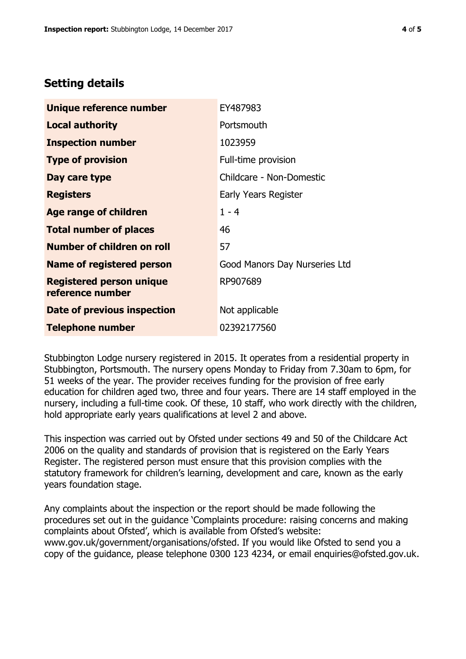# **Setting details**

| Unique reference number                             | EY487983                      |
|-----------------------------------------------------|-------------------------------|
| <b>Local authority</b>                              | Portsmouth                    |
| <b>Inspection number</b>                            | 1023959                       |
| <b>Type of provision</b>                            | Full-time provision           |
| Day care type                                       | Childcare - Non-Domestic      |
| <b>Registers</b>                                    | <b>Early Years Register</b>   |
| <b>Age range of children</b>                        | $1 - 4$                       |
| <b>Total number of places</b>                       | 46                            |
| <b>Number of children on roll</b>                   | 57                            |
| Name of registered person                           | Good Manors Day Nurseries Ltd |
| <b>Registered person unique</b><br>reference number | RP907689                      |
| Date of previous inspection                         | Not applicable                |
| <b>Telephone number</b>                             | 02392177560                   |

Stubbington Lodge nursery registered in 2015. It operates from a residential property in Stubbington, Portsmouth. The nursery opens Monday to Friday from 7.30am to 6pm, for 51 weeks of the year. The provider receives funding for the provision of free early education for children aged two, three and four years. There are 14 staff employed in the nursery, including a full-time cook. Of these, 10 staff, who work directly with the children, hold appropriate early years qualifications at level 2 and above.

This inspection was carried out by Ofsted under sections 49 and 50 of the Childcare Act 2006 on the quality and standards of provision that is registered on the Early Years Register. The registered person must ensure that this provision complies with the statutory framework for children's learning, development and care, known as the early years foundation stage.

Any complaints about the inspection or the report should be made following the procedures set out in the guidance 'Complaints procedure: raising concerns and making complaints about Ofsted', which is available from Ofsted's website: www.gov.uk/government/organisations/ofsted. If you would like Ofsted to send you a copy of the guidance, please telephone 0300 123 4234, or email enquiries@ofsted.gov.uk.